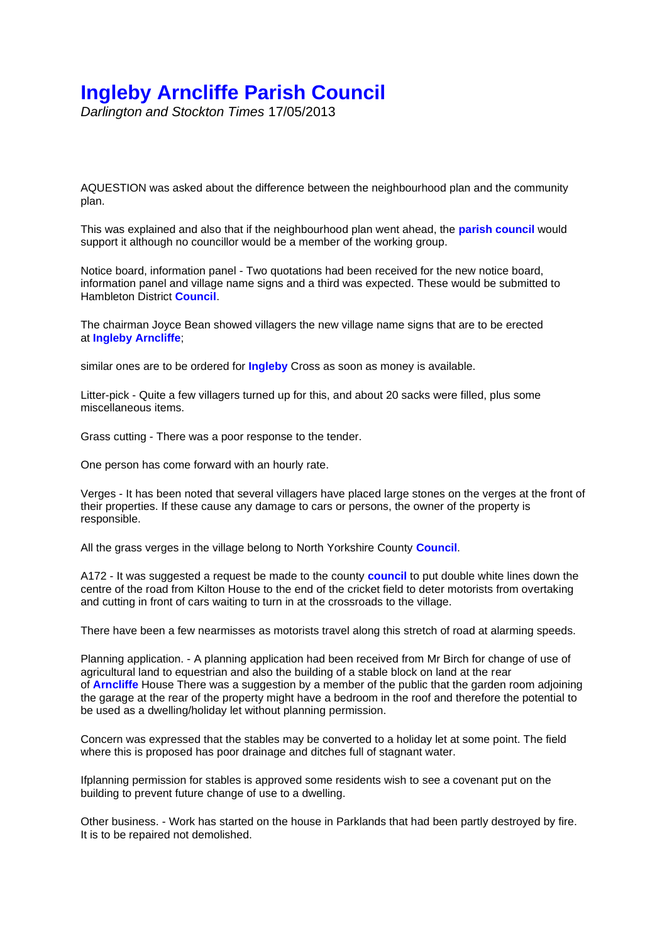## **Ingleby Arncliffe Parish Council**

*Darlington and Stockton Times* 17/05/2013

AQUESTION was asked about the difference between the neighbourhood plan and the community plan.

This was explained and also that if the neighbourhood plan went ahead, the **parish council** would support it although no councillor would be a member of the working group.

Notice board, information panel - Two quotations had been received for the new notice board, information panel and village name signs and a third was expected. These would be submitted to Hambleton District **Council**.

The chairman Joyce Bean showed villagers the new village name signs that are to be erected at **Ingleby Arncliffe**;

similar ones are to be ordered for **Ingleby** Cross as soon as money is available.

Litter-pick - Quite a few villagers turned up for this, and about 20 sacks were filled, plus some miscellaneous items.

Grass cutting - There was a poor response to the tender.

One person has come forward with an hourly rate.

Verges - It has been noted that several villagers have placed large stones on the verges at the front of their properties. If these cause any damage to cars or persons, the owner of the property is responsible.

All the grass verges in the village belong to North Yorkshire County **Council**.

A172 - It was suggested a request be made to the county **council** to put double white lines down the centre of the road from Kilton House to the end of the cricket field to deter motorists from overtaking and cutting in front of cars waiting to turn in at the crossroads to the village.

There have been a few nearmisses as motorists travel along this stretch of road at alarming speeds.

Planning application. - A planning application had been received from Mr Birch for change of use of agricultural land to equestrian and also the building of a stable block on land at the rear of **Arncliffe** House There was a suggestion by a member of the public that the garden room adjoining the garage at the rear of the property might have a bedroom in the roof and therefore the potential to be used as a dwelling/holiday let without planning permission.

Concern was expressed that the stables may be converted to a holiday let at some point. The field where this is proposed has poor drainage and ditches full of stagnant water.

Ifplanning permission for stables is approved some residents wish to see a covenant put on the building to prevent future change of use to a dwelling.

Other business. - Work has started on the house in Parklands that had been partly destroyed by fire. It is to be repaired not demolished.